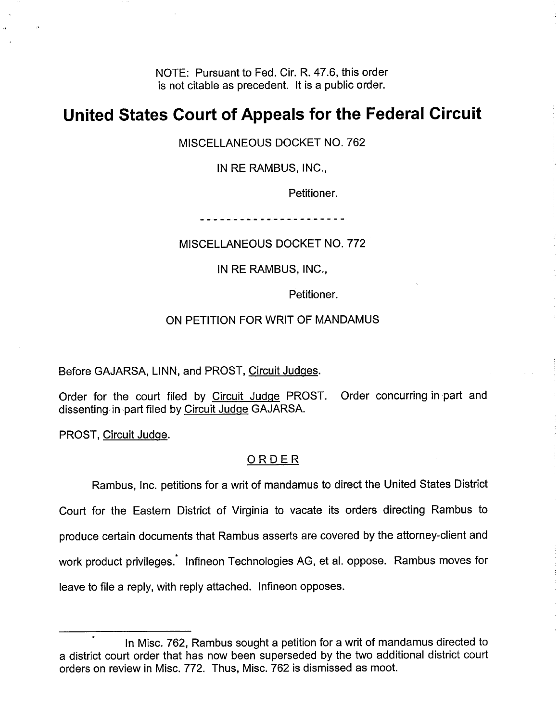NOTE: Pursuant to Fed. Cir. R. 47.6, this order is not citable as precedent. It is a public order.

## **United States Court of Appeals for the Federal Circuit**

MISCELLANEOUS DOCKET NO. 762

IN RE RAMBUS, INC.,

Petitioner.

\_ \_ \_ \_ \_ \_ \_ \_ \_ \_ \_ \_ \_ \_ \_ \_ \_

MISCELLANEOUS DOCKET NO. 772

IN RE RAMBUS, INC.,

Petitioner.

## ON PETITION FOR WRIT OF MANDAMUS

Before GAJARSA, LINN, and PROST, Circuit Judges.

Order for the court filed by Circuit Judge PROST. Order concurring in part and dissenting,in part filed by Circuit Judqe GAJARSA.

PROST, Circuit Judqe.

## ORDER

Rambus, Inc. petitions for a writ of mandamus to direct the United States District Court for the Eastern District of Virginia to vacate its orders directing Rambus to produce certain documents that Rambus asserts are covered by the attorney-client and work product privileges.' lnfineon Technologies AG, et al. oppose. Rambus moves for leave to file a reply, with reply attached. lnfineon opposes.

In Misc. 762, Rambus sought a petition for a writ of mandamus directed to a district court order that has now been superseded by the two additional district court orders on review in Misc. 772. Thus, Misc. 762 is dismissed as moot.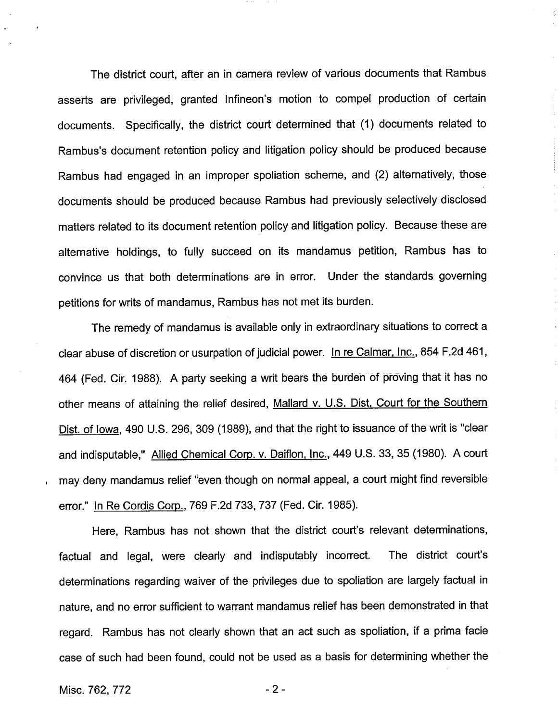The district court, after an in camera review of various documents that Rambus asserts are privileged, granted Infineon's motion to compel production of certain documents. Specifically, the district court determined that (1) documents related to Rambus's document retention policy and litigation policy should be produced because Rambus had engaged in an improper spoliation scheme, and (2) alternatively, those documents should be produced because Rambus had previously selectively disclosed matters related to its document retention policy and litigation policy. Because these are alternative holdings, to fully succeed on its mandamus petition, Rambus has to convince us that both determinations are in error. Under the standards governing petitions for writs of mandamus, Rambus has not met its burden.

The remedy of mandamus is available only in extraordinary situations to correct a clear abuse of discretion or usurpation of judicial power. In re Calmar, Inc., 854 F.2d 461, 464 (Fed. Cir. 1988). A party seeking a writ bears the burden of proving that it has no other means of attaining the relief desired, Mallard v. U.S. Dist. Court for the Southern Dist. of Iowa, 490 U.S. 296, 309 (1989), and that the right to issuance of the writ is "clear and indisputable," Allied Chemical Corp. v. Daiflon, Inc., 449 U.S. 33, 35 (1980). A court may deny mandamus relief "even though on normal appeal, a court might find reversible error." In Re Cordis Corp., 769 F.2d 733, 737 (Fed. Cir. 1985).

Here, Rambus has not shown that the district court's relevant determinations, factual and legal, were clearly and indisputably incorrect. The district court's determinations regarding waiver of the privileges due to spoliation are largely factual in nature, and no error sufficient to warrant mandamus relief has been demonstrated in that regard. Rambus has not clearly shown that an act such as spoliation, if a prima facie case of such had been found, could not be used as a basis for determining whether the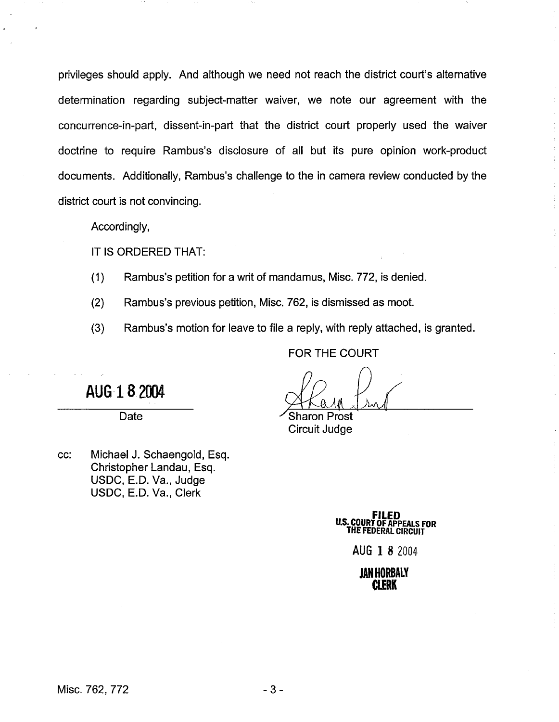privileges should apply. And although we need not reach the district court's alternative determination regarding subject-matter waiver, we note our agreement with the concurrence-in-part, dissent-in-part that the district court properly used the waiver doctrine to require Rambus's disclosure of all but its pure opinion work-product documents. Additionally, Rambus's challenge to the in camera review conducted by the district court is not convincing.

Accordingly,

IT IS ORDERED THAT:

**(1)** Rambus's petition for a writ of mandamus, Misc. 772, is denied.

(2) Rambus's previous petition, Misc. 762, is dismissed as moot.

(3) Rambus's motion for leave to file a reply, with reply attached, is granted.

FOR THE COURT

Sharon Prost Circuit Judge

cc: Michael J. Schaengold, Esq. Christopher Landau, Esq. USDC, E.D. Va., Judge USDC, E.D. Va., Clerk

Date

AUG 18 2004

**FILED U.S. COURT OF APPEALS FOR THE FEDERAL CIRCUIT** 

**AUG 1** 8 2004

**JAN HORBALY CLERK**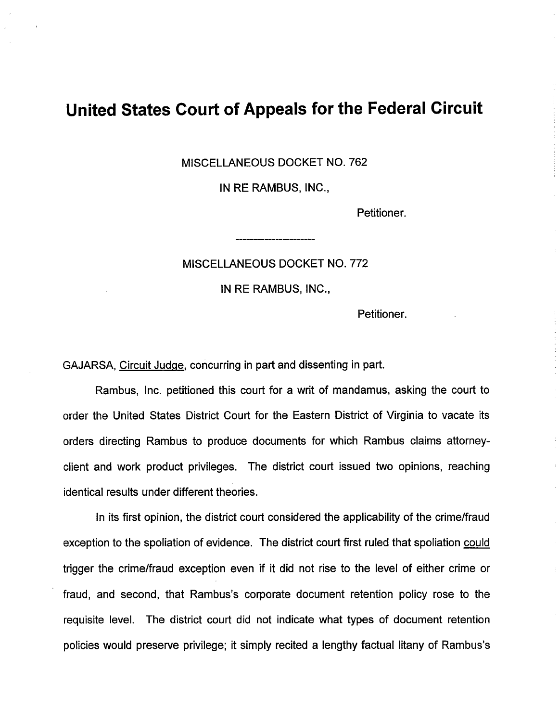## **United States Court of Appeals for the Federal Circuit**

MISCELLANEOUS DOCKET NO. 762

IN RE RAMBUS, INC.,

Petitioner.

MISCELLANEOUS DOCKET NO. 772

IN RE RAMBUS, INC.,

Petitioner.

GAJARSA, Circuit Judge, concurring in part and dissenting in part.

Rambus, Inc. petitioned this court for a writ of mandamus, asking the court to order the United States District Court for the Eastern District of Virginia to vacate its orders directing Rambus to produce documents for which Rambus claims attorneyclient and work product privileges. The district court issued two opinions, reaching identical results under different theories.

In its first opinion, the district court considered the applicability of the crimelfraud exception to the spoliation of evidence. The district court first ruled that spoliation could trigger the crimelfraud exception even if it did not rise to the level of either crime or fraud, and second, that Rambus's corporate document retention policy rose to the requisite level. The district court did not indicate what types of document retention policies would preserve privilege; it simply recited a lengthy factual litany of Rambus's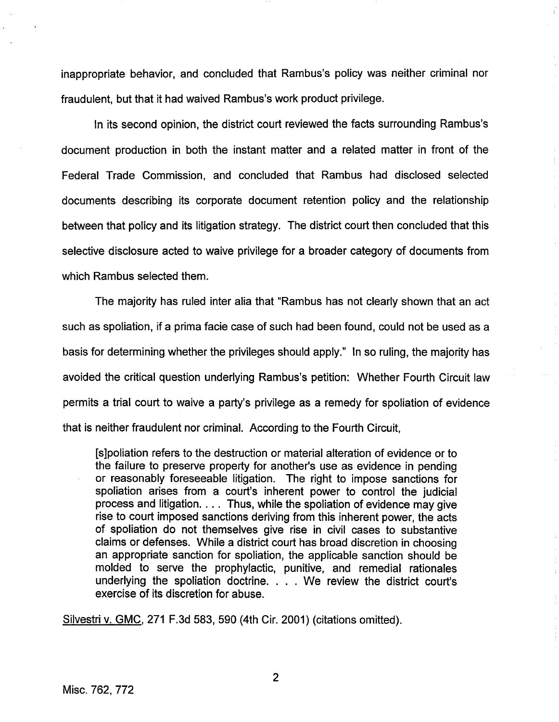inappropriate behavior, and concluded that Rambus's policy was neither criminal nor fraudulent, but that it had waived Rambus's work product privilege.

In its second opinion, the district court reviewed the facts surrounding Rambus's document production in both the instant matter and a related matter in front of the Federal Trade Commission, and concluded that Rambus had disclosed selected documents describing its corporate document retention policy and the relationship between that policy and its litigation strategy. The district court then concluded that this selective disclosure acted to waive privilege for a broader category of documents from which Rambus selected them.

The majority has ruled inter alia that "Rambus has not clearly shown that an act such as spoliation, if a prima facie case of such had been found, could not be used as a basis for determining whether the privileges should apply." In so ruling, the majority has avoided the critical question underlying Rambus's petition: Whether Fourth Circuit law permits a trial court to waive a party's privilege as a remedy for spoliation of evidence that is neither fraudulent nor criminal. According to the Fourth Circuit,

[slpoliation refers to the destruction or material alteration of evidence or to the failure to preserve property for another's use as evidence in pending or reasonably foreseeable litigation. The right to impose sanctions for spoliation arises from a court's inherent power to control the judicial process and litigation. . . . Thus, while the spoliation of evidence may give rise to court imposed sanctions deriving from this inherent power, the acts of spoliation do not themselves give rise in civil cases to substantive claims or defenses. While a district court has broad discretion in choosing an appropriate sanction for spoliation, the applicable sanction should be molded to serve the prophylactic, punitive, and remedial rationales underlying the spoliation doctrine. . . . We review the district court's exercise of its discretion for abuse.

Silvestri v. GMC, 271 F.3d 583, 590 (4th Cir. 2001) (citations omitted).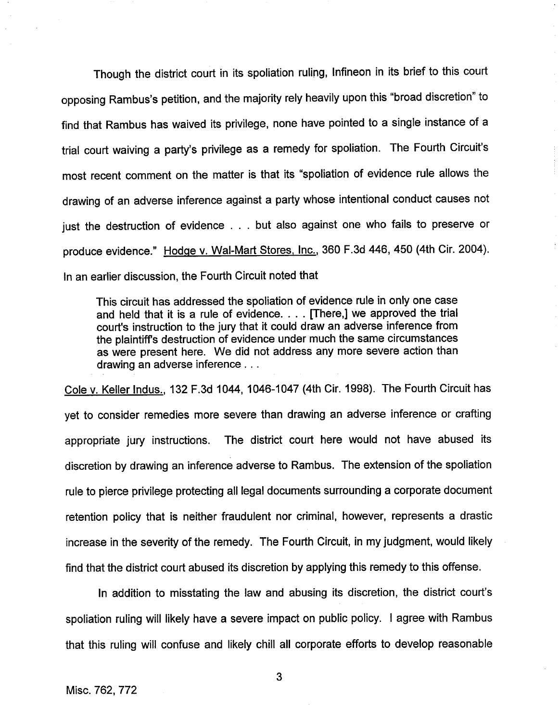Though the district court in its spoliation ruling, lnfineon in its brief to this court opposing Rambus's petition, and the majority rely heavily upon this "broad discretion" to find that Rambus has waived its privilege, none have pointed to a single instance of a trial court waiving a party's privilege as a remedy for spoliation. The Fourth Circuit's most recent comment on the matter is that its "spoliation of evidence rule allows the drawing of an adverse inference against a party whose intentional conduct causes not just the destruction of evidence . . . but also against one who fails to preserve or produce evidence." Hodge v. Wal-Mart Stores. Inc., 360 F.3d 446, 450 (4th Cir. 2004). In an earlier discussion, the Fourth Circuit noted that

This circuit has addressed the spoliation of evidence rule in only one case and held that it is a rule of evidence. . . . [There,] we approved the trial court's instruction to the jury that it could draw an adverse inference from the plaintiffs destruction of evidence under much the same circumstances as were present here. We did not address any more severe action than drawing an adverse inference . . .

Cole v. Keller Indus., 132 F.3d 1044, 1046-1 047 (4th Cir. **1998).** The Fourth Circuit has yet to consider remedies more severe than drawing an adverse inference or crafting appropriate jury instructions. The district court here would not have abused its discretion by drawing an inference adverse to Rambus. The extension of the spoliation rule to pierce privilege protecting all legal documents surrounding a corporate document retention policy that is neither fraudulent nor criminal, however, represents a drastic increase in the severity of the remedy. The Fourth Circuit, in my judgment, would likely find that the district court abused its discretion by applying this remedy to this offense.

In addition to misstating the law and abusing its discretion, the district court's spoliation ruling will likely have a severe impact on public policy. I agree with Rambus that this ruling will confuse and likely chill all corporate efforts to develop reasonable

3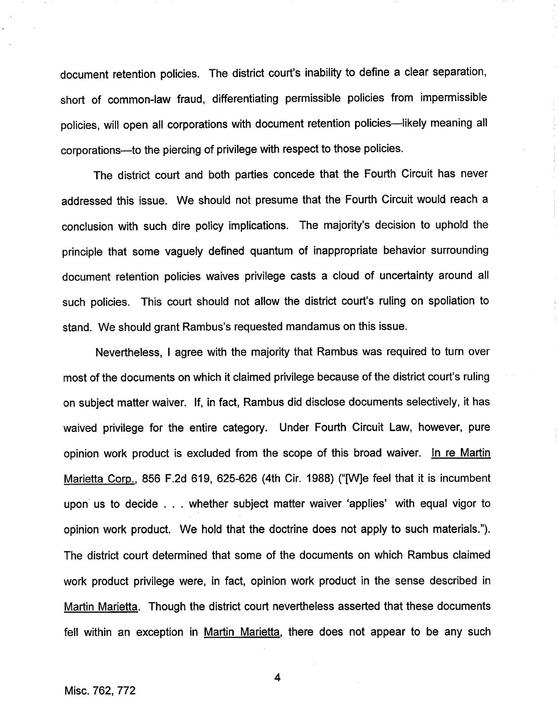document retention policies. The district court's inability to define a clear separation, short of common-law fraud, differentiating permissible policies from impermissible policies, will open all corporations with document retention policies-likely meaning all corporations--to the piercing of privilege with respect to those policies.

The district court and both parties concede that the Fourth Circuit has never addressed this issue. We should not presume that the Fourth Circuit would reach a conclusion with such dire policy implications. The majority's decision to uphold the principle that some vaguely defined quantum of inappropriate behavior surrounding document retention policies waives privilege casts a cloud of uncertainty around all such policies. This court should not allow the district court's ruling on spoliation to stand. We should grant Rambus's requested mandamus on this issue.

Nevertheless, I agree with the majority that Rambus was required to turn over most of the documents on which it claimed privilege because of the district court's ruling on subject matter waiver. If, in fact, Rambus did disclose documents selectively, it has waived privilege for the entire category. Under Fourth Circuit Law, however, pure opinion work product is excluded from the scope of this broad waiver. In re Martin Marietta Corp., 856 F.2d 619, 625-626 (4th Cir. 1988) ("[Wle feel that it is incumbent upon us to decide . . . whether subject matter waiver 'applies' with equal vigor to opinion work product. We hold that the doctrine does not apply to such materials."). The district court determined that some of the documents on which Rambus claimed work product privilege were, in fact, opinion work product in the sense described in Martin Marietta. Though the district court nevertheless asserted that these documents fell within an exception in Martin Marietta, there does not appear to be any such

4